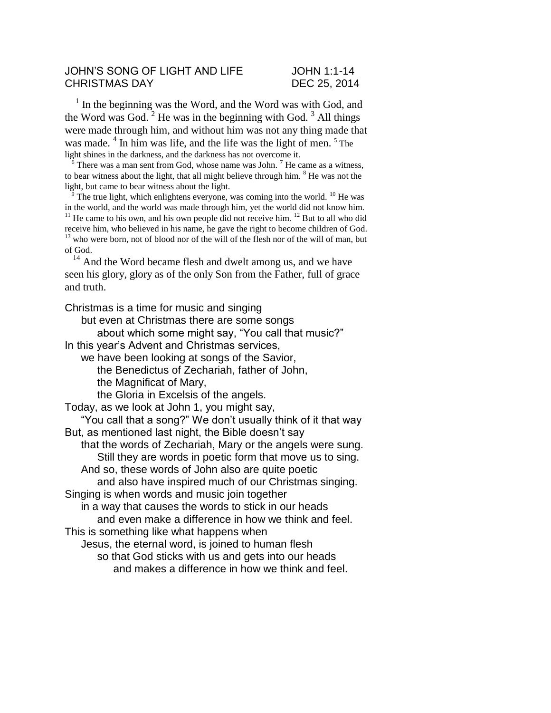## JOHN'S SONG OF LIGHT AND LIFE JOHN 1:1-14 CHRISTMAS DAY DEC 25, 2014

<sup>1</sup> In the beginning was the Word, and the Word was with God, and the Word was God.  $2$  He was in the beginning with God.  $3$  All things were made through him, and without him was not any thing made that was made. <sup>4</sup> In him was life, and the life was the light of men. <sup>5</sup> The light shines in the darkness, and the darkness has not overcome it.

 $\frac{6}{6}$  There was a man sent from God, whose name was John.<sup>7</sup> He came as a witness, to bear witness about the light, that all might believe through him.  $8$  He was not the light, but came to bear witness about the light.

The true light, which enlightens everyone, was coming into the world. <sup>10</sup> He was in the world, and the world was made through him, yet the world did not know him. <sup>11</sup> He came to his own, and his own people did not receive him. <sup>12</sup> But to all who did receive him, who believed in his name, he gave the right to become children of God.  $13$  who were born, not of blood nor of the will of the flesh nor of the will of man, but of God.

<sup>14</sup> And the Word became flesh and dwelt among us, and we have seen his glory, glory as of the only Son from the Father, full of grace and truth.

Christmas is a time for music and singing

but even at Christmas there are some songs

about which some might say, "You call that music?"

In this year's Advent and Christmas services,

we have been looking at songs of the Savior,

the Benedictus of Zechariah, father of John,

the Magnificat of Mary,

the Gloria in Excelsis of the angels.

Today, as we look at John 1, you might say,

"You call that a song?" We don't usually think of it that way But, as mentioned last night, the Bible doesn't say

that the words of Zechariah, Mary or the angels were sung. Still they are words in poetic form that move us to sing.

And so, these words of John also are quite poetic

and also have inspired much of our Christmas singing.

Singing is when words and music join together

in a way that causes the words to stick in our heads and even make a difference in how we think and feel.

This is something like what happens when

Jesus, the eternal word, is joined to human flesh

so that God sticks with us and gets into our heads and makes a difference in how we think and feel.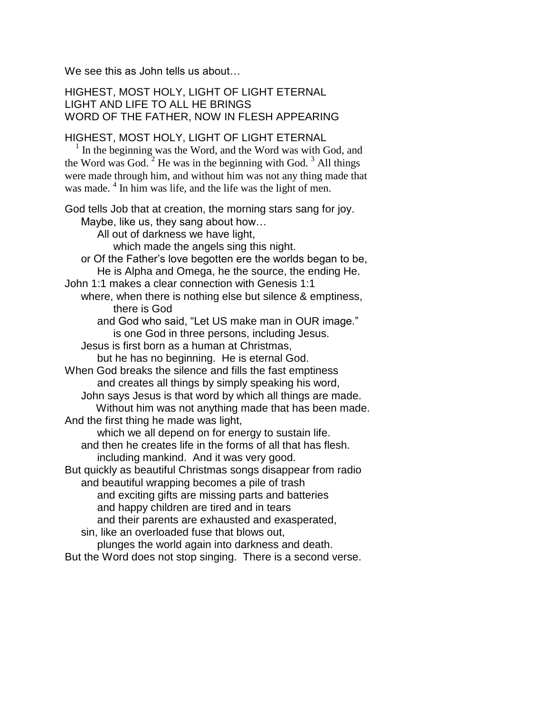We see this as John tells us about...

HIGHEST, MOST HOLY, LIGHT OF LIGHT ETERNAL LIGHT AND LIFE TO ALL HE BRINGS WORD OF THE FATHER, NOW IN FLESH APPEARING

HIGHEST, MOST HOLY, LIGHT OF LIGHT ETERNAL

1 In the beginning was the Word, and the Word was with God, and the Word was God.  $2$  He was in the beginning with God.  $3$  All things were made through him, and without him was not any thing made that was made. <sup>4</sup> In him was life, and the life was the light of men.

God tells Job that at creation, the morning stars sang for joy.

Maybe, like us, they sang about how…

All out of darkness we have light,

which made the angels sing this night.

or Of the Father's love begotten ere the worlds began to be, He is Alpha and Omega, he the source, the ending He.

John 1:1 makes a clear connection with Genesis 1:1

where, when there is nothing else but silence & emptiness, there is God

and God who said, "Let US make man in OUR image." is one God in three persons, including Jesus.

Jesus is first born as a human at Christmas,

but he has no beginning. He is eternal God.

When God breaks the silence and fills the fast emptiness and creates all things by simply speaking his word, John says Jesus is that word by which all things are made.

 Without him was not anything made that has been made. And the first thing he made was light,

which we all depend on for energy to sustain life.

and then he creates life in the forms of all that has flesh. including mankind. And it was very good.

But quickly as beautiful Christmas songs disappear from radio and beautiful wrapping becomes a pile of trash

and exciting gifts are missing parts and batteries and happy children are tired and in tears

and their parents are exhausted and exasperated,

sin, like an overloaded fuse that blows out,

plunges the world again into darkness and death.

But the Word does not stop singing. There is a second verse.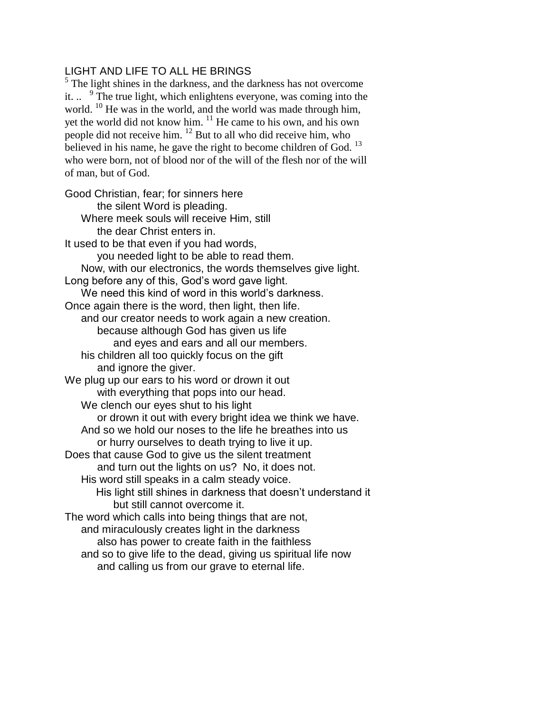## LIGHT AND LIFE TO ALL HE BRINGS

 $<sup>5</sup>$  The light shines in the darkness, and the darkness has not overcome</sup> it.  $\cdot$  <sup>9</sup>. The true light, which enlightens everyone, was coming into the world. <sup>10</sup> He was in the world, and the world was made through him, yet the world did not know him.  $11$  He came to his own, and his own people did not receive him. <sup>12</sup> But to all who did receive him, who believed in his name, he gave the right to become children of God.  $^{13}$ who were born, not of blood nor of the will of the flesh nor of the will of man, but of God.

Good Christian, fear; for sinners here the silent Word is pleading. Where meek souls will receive Him, still the dear Christ enters in. It used to be that even if you had words, you needed light to be able to read them. Now, with our electronics, the words themselves give light. Long before any of this, God's word gave light. We need this kind of word in this world's darkness. Once again there is the word, then light, then life. and our creator needs to work again a new creation. because although God has given us life and eyes and ears and all our members. his children all too quickly focus on the gift and ignore the giver. We plug up our ears to his word or drown it out with everything that pops into our head. We clench our eyes shut to his light or drown it out with every bright idea we think we have. And so we hold our noses to the life he breathes into us or hurry ourselves to death trying to live it up. Does that cause God to give us the silent treatment and turn out the lights on us? No, it does not. His word still speaks in a calm steady voice. His light still shines in darkness that doesn't understand it but still cannot overcome it. The word which calls into being things that are not, and miraculously creates light in the darkness also has power to create faith in the faithless and so to give life to the dead, giving us spiritual life now and calling us from our grave to eternal life.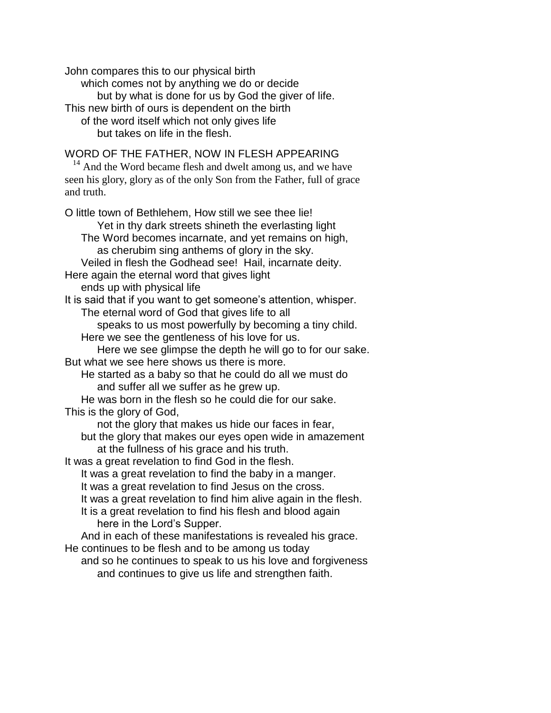John compares this to our physical birth which comes not by anything we do or decide but by what is done for us by God the giver of life. This new birth of ours is dependent on the birth of the word itself which not only gives life but takes on life in the flesh.

WORD OF THE FATHER, NOW IN FLESH APPEARING

<sup>14</sup> And the Word became flesh and dwelt among us, and we have seen his glory, glory as of the only Son from the Father, full of grace and truth.

O little town of Bethlehem, How still we see thee lie! Yet in thy dark streets shineth the everlasting light The Word becomes incarnate, and yet remains on high, as cherubim sing anthems of glory in the sky. Veiled in flesh the Godhead see! Hail, incarnate deity. Here again the eternal word that gives light ends up with physical life It is said that if you want to get someone's attention, whisper. The eternal word of God that gives life to all speaks to us most powerfully by becoming a tiny child. Here we see the gentleness of his love for us. Here we see glimpse the depth he will go to for our sake. But what we see here shows us there is more. He started as a baby so that he could do all we must do and suffer all we suffer as he grew up. He was born in the flesh so he could die for our sake. This is the glory of God, not the glory that makes us hide our faces in fear, but the glory that makes our eyes open wide in amazement at the fullness of his grace and his truth. It was a great revelation to find God in the flesh. It was a great revelation to find the baby in a manger. It was a great revelation to find Jesus on the cross. It was a great revelation to find him alive again in the flesh. It is a great revelation to find his flesh and blood again here in the Lord's Supper. And in each of these manifestations is revealed his grace. He continues to be flesh and to be among us today and so he continues to speak to us his love and forgiveness

and continues to give us life and strengthen faith.